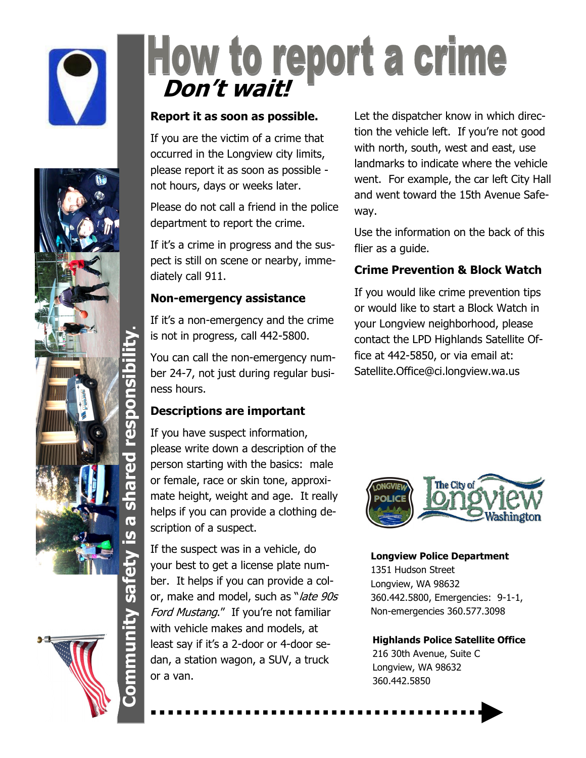



# How to report a crime

#### **Report it as soon as possible.**

If you are the victim of a crime that occurred in the Longview city limits, please report it as soon as possible not hours, days or weeks later.

Please do not call a friend in the police department to report the crime.

If it's a crime in progress and the suspect is still on scene or nearby, immediately call 911.

#### **Non-emergency assistance**

If it's a non-emergency and the crime is not in progress, call 442-5800.

You can call the non-emergency number 24-7, not just during regular business hours.

#### **Descriptions are important**

If you have suspect information, please write down a description of the person starting with the basics: male or female, race or skin tone, approximate height, weight and age. It really helps if you can provide a clothing description of a suspect.

If the suspect was in a vehicle, do your best to get a license plate number. It helps if you can provide a color, make and model, such as "late 90s Ford Mustang." If you're not familiar with vehicle makes and models, at least say if it's a 2-door or 4-door sedan, a station wagon, a SUV, a truck or a van.

Let the dispatcher know in which direction the vehicle left. If you're not good with north, south, west and east, use landmarks to indicate where the vehicle went. For example, the car left City Hall and went toward the 15th Avenue Safeway.

Use the information on the back of this flier as a quide.

#### **Crime Prevention & Block Watch**

If you would like crime prevention tips or would like to start a Block Watch in your Longview neighborhood, please contact the LPD Highlands Satellite Office at 442-5850, or via email at: Satellite.Office@ci.longview.wa.us



#### **Longview Police Department**

1351 Hudson Street Longview, WA 98632 360.442.5800, Emergencies: 9-1-1, Non-emergencies 360.577.3098

#### **Highlands Police Satellite Office**

216 30th Avenue, Suite C Longview, WA 98632 360.442.5850